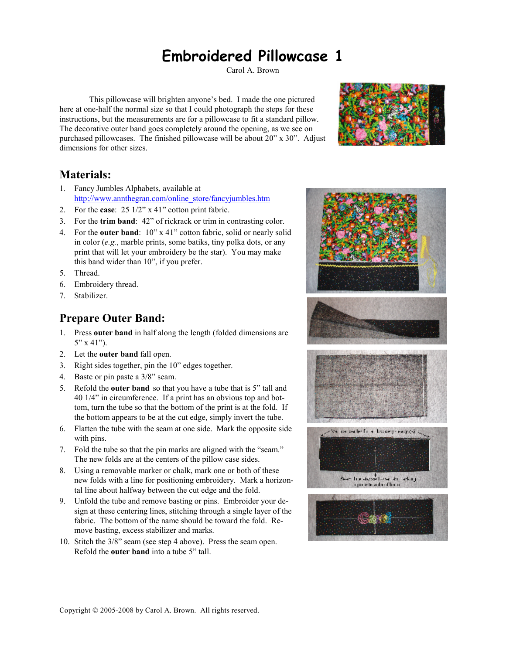# **Embroidered Pillowcase 1**

Carol A. Brown

 This pillowcase will brighten anyone's bed. I made the one pictured here at one-half the normal size so that I could photograph the steps for these instructions, but the measurements are for a pillowcase to fit a standard pillow. The decorative outer band goes completely around the opening, as we see on purchased pillowcases. The finished pillowcase will be about 20" x 30". Adjust dimensions for other sizes.



## **Materials:**

- 1. Fancy Jumbles Alphabets, available at http://www.annthegran.com/online\_store/fancyjumbles.htm
- 2. For the **case**: 25 1/2" x 41" cotton print fabric.
- 3. For the **trim band**: 42" of rickrack or trim in contrasting color.
- 4. For the **outer band**: 10" x 41" cotton fabric, solid or nearly solid in color (*e.g.*, marble prints, some batiks, tiny polka dots, or any print that will let your embroidery be the star). You may make this band wider than 10", if you prefer.
- 5. Thread.
- 6. Embroidery thread.
- 7. Stabilizer.

## **Prepare Outer Band:**

- 1. Press **outer band** in half along the length (folded dimensions are 5" x 41").
- 2. Let the **outer band** fall open.
- 3. Right sides together, pin the 10" edges together.
- 4. Baste or pin paste a 3/8" seam.
- 5. Refold the **outer band** so that you have a tube that is 5" tall and 40 1/4" in circumference. If a print has an obvious top and bottom, turn the tube so that the bottom of the print is at the fold. If the bottom appears to be at the cut edge, simply invert the tube.
- 6. Flatten the tube with the seam at one side. Mark the opposite side with pins.
- 7. Fold the tube so that the pin marks are aligned with the "seam." The new folds are at the centers of the pillow case sides.
- 8. Using a removable marker or chalk, mark one or both of these new folds with a line for positioning embroidery. Mark a horizontal line about halfway between the cut edge and the fold.
- 9. Unfold the tube and remove basting or pins. Embroider your design at these centering lines, stitching through a single layer of the fabric. The bottom of the name should be toward the fold. Remove basting, excess stabilizer and marks.
- 10. Stitch the 3/8" seam (see step 4 above). Press the seam open. Refold the **outer band** into a tube 5" tall.